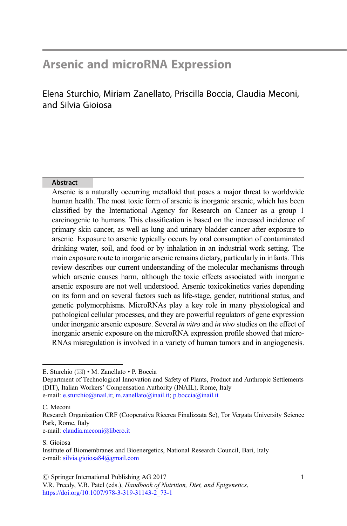# Arsenic and microRNA Expression

Elena Sturchio, Miriam Zanellato, Priscilla Boccia, Claudia Meconi, and Silvia Gioiosa

#### Abstract

Arsenic is a naturally occurring metalloid that poses a major threat to worldwide human health. The most toxic form of arsenic is inorganic arsenic, which has been classified by the International Agency for Research on Cancer as a group 1 carcinogenic to humans. This classification is based on the increased incidence of primary skin cancer, as well as lung and urinary bladder cancer after exposure to arsenic. Exposure to arsenic typically occurs by oral consumption of contaminated drinking water, soil, and food or by inhalation in an industrial work setting. The main exposure route to inorganic arsenic remains dietary, particularly in infants. This review describes our current understanding of the molecular mechanisms through which arsenic causes harm, although the toxic effects associated with inorganic arsenic exposure are not well understood. Arsenic toxicokinetics varies depending on its form and on several factors such as life-stage, gender, nutritional status, and genetic polymorphisms. MicroRNAs play a key role in many physiological and pathological cellular processes, and they are powerful regulators of gene expression under inorganic arsenic exposure. Several in vitro and in vivo studies on the effect of inorganic arsenic exposure on the microRNA expression profile showed that micro-RNAs misregulation is involved in a variety of human tumors and in angiogenesis.

e-mail: [claudia.meconi@libero.it](mailto:claudia.meconi@libero.it)

E. Sturchio (⊠) • M. Zanellato • P. Boccia

Department of Technological Innovation and Safety of Plants, Product and Anthropic Settlements (DIT), Italian Workers' Compensation Authority (INAIL), Rome, Italy e-mail: [e.sturchio@inail.it;](mailto:e.sturchio@inail.it) [m.zanellato@inail.it;](mailto:m.zanellato@inail.it) [p.boccia@inail.it](mailto:p.boccia@inail.it)

C. Meconi

Research Organization CRF (Cooperativa Ricerca Finalizzata Sc), Tor Vergata University Science Park, Rome, Italy

S. Gioiosa

Institute of Biomembranes and Bioenergetics, National Research Council, Bari, Italy e-mail: [silvia.gioiosa84@gmail.com](mailto:silvia.gioiosa84@gmail.com)

 $\oslash$  Springer International Publishing AG 2017

V.R. Preedy, V.B. Patel (eds.), Handbook of Nutrition, Diet, and Epigenetics, [https://doi.org/10.1007/978-3-319-31143-2\\_73-1](https://doi.org/10.1007/978-3-319-31143-2_73-1)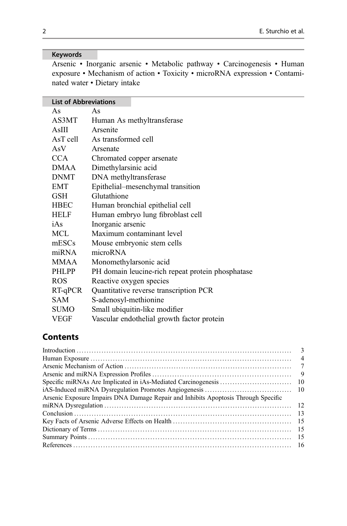## Keywords

Arsenic • Inorganic arsenic • Metabolic pathway • Carcinogenesis • Human exposure • Mechanism of action • Toxicity • microRNA expression • Contaminated water • Dietary intake

| <b>List of Abbreviations</b> |                                                   |
|------------------------------|---------------------------------------------------|
| As                           | As                                                |
| AS3MT                        | Human As methyltransferase                        |
| AsIII                        | Arsenite                                          |
| AsT cell                     | As transformed cell                               |
| AsV                          | Arsenate                                          |
| <b>CCA</b>                   | Chromated copper arsenate                         |
| <b>DMAA</b>                  | Dimethylarsinic acid                              |
| <b>DNMT</b>                  | DNA methyltransferase                             |
| EMT                          | Epithelial-mesenchymal transition                 |
| GSH                          | Glutathione                                       |
| <b>HBEC</b>                  | Human bronchial epithelial cell                   |
| HELF                         | Human embryo lung fibroblast cell                 |
| iAs                          | Inorganic arsenic                                 |
| MCL                          | Maximum contaminant level                         |
| mESCs                        | Mouse embryonic stem cells                        |
| miRNA                        | microRNA                                          |
| <b>MMAA</b>                  | Monomethylarsonic acid                            |
| <b>PHLPP</b>                 | PH domain leucine-rich repeat protein phosphatase |
| <b>ROS</b>                   | Reactive oxygen species                           |
| $RT-qPCR$                    | Quantitative reverse transcription PCR            |
| <b>SAM</b>                   | S-adenosyl-methionine                             |
| <b>SUMO</b>                  | Small ubiquitin-like modifier                     |
| VEGF                         | Vascular endothelial growth factor protein        |

# **Contents**

| - 15 |
|------|
|      |
|      |
|      |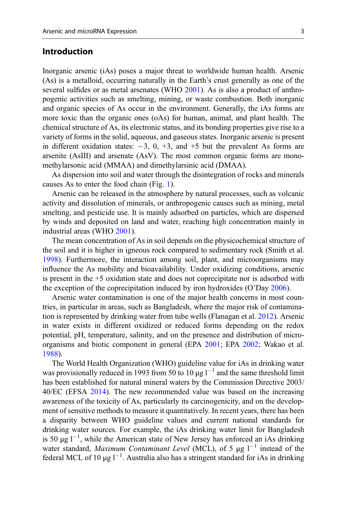#### Introduction

Inorganic arsenic (iAs) poses a major threat to worldwide human health. Arsenic (As) is a metalloid, occurring naturally in the Earth's crust generally as one of the several sulfides or as metal arsenates (WHO [2001](#page-18-0)). As is also a product of anthropogenic activities such as smelting, mining, or waste combustion. Both inorganic and organic species of As occur in the environment. Generally, the iAs forms are more toxic than the organic ones (oAs) for human, animal, and plant health. The chemical structure of As, its electronic status, and its bonding properties give rise to a variety of forms in the solid, aqueous, and gaseous states. Inorganic arsenic is present in different oxidation states:  $-3$ , 0,  $+3$ , and  $+5$  but the prevalent As forms are arsenite (AsIII) and arsenate (AsV). The most common organic forms are monomethylarsonic acid (MMAA) and dimethylarsinic acid (DMAA).

As dispersion into soil and water through the disintegration of rocks and minerals causes As to enter the food chain (Fig. [1\)](#page-3-0).

Arsenic can be released in the atmosphere by natural processes, such as volcanic activity and dissolution of minerals, or anthropogenic causes such as mining, metal smelting, and pesticide use. It is mainly adsorbed on particles, which are dispersed by winds and deposited on land and water, reaching high concentration mainly in industrial areas (WHO [2001\)](#page-18-0).

The mean concentration of As in soil depends on the physicochemical structure of the soil and it is higher in igneous rock compared to sedimentary rock (Smith et al. [1998\)](#page-17-0). Furthermore, the interaction among soil, plant, and microorganisms may influence the As mobility and bioavailability. Under oxidizing conditions, arsenic is present in the +5 oxidation state and does not coprecipitate nor is adsorbed with the exception of the coprecipitation induced by iron hydroxides (O'Day [2006](#page-17-0)).

Arsenic water contamination is one of the major health concerns in most countries, in particular in areas, such as Bangladesh, where the major risk of contamination is represented by drinking water from tube wells (Flanagan et al. [2012\)](#page-16-0). Arsenic in water exists in different oxidized or reduced forms depending on the redox potential, pH, temperature, salinity, and on the presence and distribution of microorganisms and biotic component in general (EPA [2001](#page-18-0); EPA [2002;](#page-18-0) Wakao et al. [1988\)](#page-18-0).

The World Health Organization (WHO) guideline value for iAs in drinking water was provisionally reduced in 1993 from 50 to 10  $\mu$ g l<sup>-1</sup> and the same threshold limit has been established for natural mineral waters by the Commission Directive 2003/ 40/EC (EFSA [2014](#page-15-0)). The new recommended value was based on the increasing awareness of the toxicity of As, particularly its carcinogenicity, and on the development of sensitive methods to measure it quantitatively. In recent years, there has been a disparity between WHO guideline values and current national standards for drinking water sources. For example, the iAs drinking water limit for Bangladesh is 50  $\mu$ g l<sup>-1</sup>, while the American state of New Jersey has enforced an iAs drinking water standard, Maximum Contaminant Level (MCL), of 5  $\mu$ g l<sup>-1</sup> instead of the federal MCL of 10  $\mu$ g l<sup>-1</sup>. Australia also has a stringent standard for iAs in drinking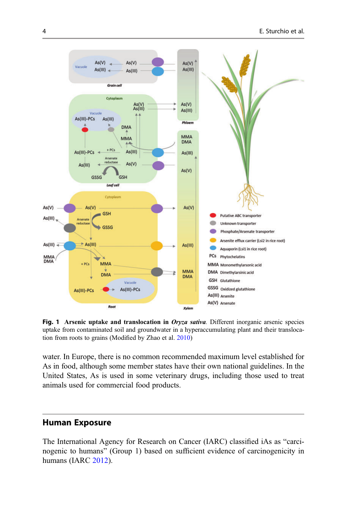<span id="page-3-0"></span>

Fig. 1 Arsenic uptake and translocation in Oryza sativa. Different inorganic arsenic species uptake from contaminated soil and groundwater in a hyperaccumulating plant and their translocation from roots to grains (Modified by Zhao et al. [2010](#page-19-0))

water. In Europe, there is no common recommended maximum level established for As in food, although some member states have their own national guidelines. In the United States, As is used in some veterinary drugs, including those used to treat animals used for commercial food products.

#### Human Exposure

The International Agency for Research on Cancer (IARC) classified iAs as "carcinogenic to humans" (Group 1) based on sufficient evidence of carcinogenicity in humans (IARC [2012](#page-16-0)).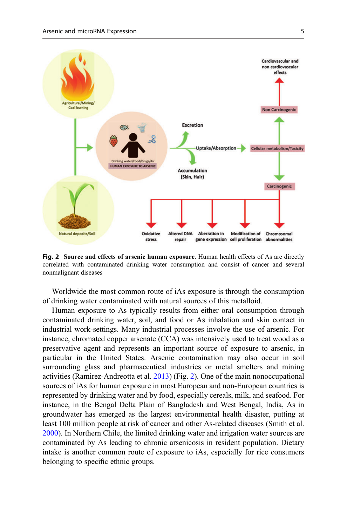

Fig. 2 Source and effects of arsenic human exposure. Human health effects of As are directly correlated with contaminated drinking water consumption and consist of cancer and several nonmalignant diseases

Worldwide the most common route of iAs exposure is through the consumption of drinking water contaminated with natural sources of this metalloid.

Human exposure to As typically results from either oral consumption through contaminated drinking water, soil, and food or As inhalation and skin contact in industrial work-settings. Many industrial processes involve the use of arsenic. For instance, chromated copper arsenate (CCA) was intensively used to treat wood as a preservative agent and represents an important source of exposure to arsenic, in particular in the United States. Arsenic contamination may also occur in soil surrounding glass and pharmaceutical industries or metal smelters and mining activities (Ramirez-Andreotta et al. [2013](#page-17-0)) (Fig. 2). One of the main nonoccupational sources of iAs for human exposure in most European and non-European countries is represented by drinking water and by food, especially cereals, milk, and seafood. For instance, in the Bengal Delta Plain of Bangladesh and West Bengal, India, As in groundwater has emerged as the largest environmental health disaster, putting at least 100 million people at risk of cancer and other As-related diseases (Smith et al. [2000\)](#page-17-0). In Northern Chile, the limited drinking water and irrigation water sources are contaminated by As leading to chronic arsenicosis in resident population. Dietary intake is another common route of exposure to iAs, especially for rice consumers belonging to specific ethnic groups.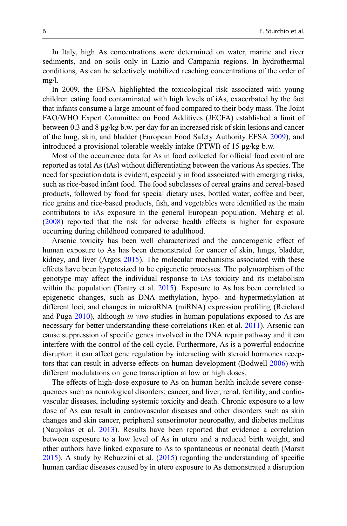In Italy, high As concentrations were determined on water, marine and river sediments, and on soils only in Lazio and Campania regions. In hydrothermal conditions, As can be selectively mobilized reaching concentrations of the order of mg/l.

In 2009, the EFSA highlighted the toxicological risk associated with young children eating food contaminated with high levels of iAs, exacerbated by the fact that infants consume a large amount of food compared to their body mass. The Joint FAO/WHO Expert Committee on Food Additives (JECFA) established a limit of between 0.3 and 8 μg/kg b.w. per day for an increased risk of skin lesions and cancer of the lung, skin, and bladder (European Food Safety Authority EFSA [2009](#page-15-0)), and introduced a provisional tolerable weekly intake (PTWI) of 15 μg/kg b.w.

Most of the occurrence data for As in food collected for official food control are reported as total As (tAs) without differentiating between the various As species. The need for speciation data is evident, especially in food associated with emerging risks, such as rice-based infant food. The food subclasses of cereal grains and cereal-based products, followed by food for special dietary uses, bottled water, coffee and beer, rice grains and rice-based products, fish, and vegetables were identified as the main contributors to iAs exposure in the general European population. Meharg et al. [\(2008](#page-16-0)) reported that the risk for adverse health effects is higher for exposure occurring during childhood compared to adulthood.

Arsenic toxicity has been well characterized and the cancerogenic effect of human exposure to As has been demonstrated for cancer of skin, lungs, bladder, kidney, and liver (Argos [2015\)](#page-15-0). The molecular mechanisms associated with these effects have been hypotesized to be epigenetic processes. The polymorphism of the genotype may affect the individual response to iAs toxicity and its metabolism within the population (Tantry et al. [2015](#page-18-0)). Exposure to As has been correlated to epigenetic changes, such as DNA methylation, hypo- and hypermethylation at different loci, and changes in microRNA (miRNA) expression profiling (Reichard and Puga [2010](#page-17-0)), although in vivo studies in human populations exposed to As are necessary for better understanding these correlations (Ren et al. [2011\)](#page-17-0). Arsenic can cause suppression of specific genes involved in the DNA repair pathway and it can interfere with the control of the cell cycle. Furthermore, As is a powerful endocrine disruptor: it can affect gene regulation by interacting with steroid hormones receptors that can result in adverse effects on human development (Bodwell [2006\)](#page-15-0) with different modulations on gene transcription at low or high doses.

The effects of high-dose exposure to As on human health include severe consequences such as neurological disorders; cancer; and liver, renal, fertility, and cardiovascular diseases, including systemic toxicity and death. Chronic exposure to a low dose of As can result in cardiovascular diseases and other disorders such as skin changes and skin cancer, peripheral sensorimotor neuropathy, and diabetes mellitus (Naujokas et al. [2013](#page-17-0)). Results have been reported that evidence a correlation between exposure to a low level of As in utero and a reduced birth weight, and other authors have linked exposure to As to spontaneous or neonatal death (Marsit [2015\)](#page-16-0). A study by Rebuzzini et al. [\(2015](#page-17-0)) regarding the understanding of specific human cardiac diseases caused by in utero exposure to As demonstrated a disruption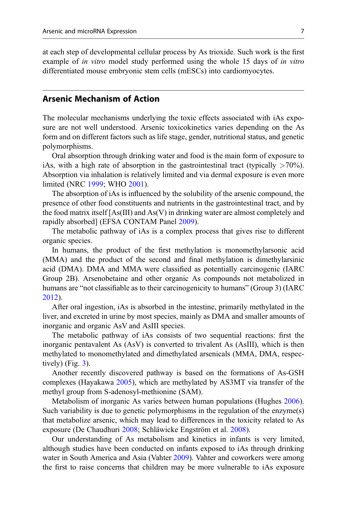at each step of developmental cellular process by As trioxide. Such work is the first example of in vitro model study performed using the whole 15 days of in vitro differentiated mouse embryonic stem cells (mESCs) into cardiomyocytes.

#### Arsenic Mechanism of Action

The molecular mechanisms underlying the toxic effects associated with iAs exposure are not well understood. Arsenic toxicokinetics varies depending on the As form and on different factors such as life stage, gender, nutritional status, and genetic polymorphisms.

Oral absorption through drinking water and food is the main form of exposure to iAs, with a high rate of absorption in the gastrointestinal tract (typically  $>70\%$ ). Absorption via inhalation is relatively limited and via dermal exposure is even more limited (NRC [1999;](#page-17-0) WHO [2001\)](#page-18-0).

The absorption of iAs is influenced by the solubility of the arsenic compound, the presence of other food constituents and nutrients in the gastrointestinal tract, and by the food matrix itself  $[As(III)]$  and  $As(V)$  in drinking water are almost completely and rapidly absorbed] (EFSA CONTAM Panel [2009](#page-15-0)).

The metabolic pathway of iAs is a complex process that gives rise to different organic species.

In humans, the product of the first methylation is monomethylarsonic acid (MMA) and the product of the second and final methylation is dimethylarsinic acid (DMA). DMA and MMA were classified as potentially carcinogenic (IARC Group 2B). Arsenobetaine and other organic As compounds not metabolized in humans are "not classifiable as to their carcinogenicity to humans" (Group 3) (IARC [2012\)](#page-16-0).

After oral ingestion, iAs is absorbed in the intestine, primarily methylated in the liver, and excreted in urine by most species, mainly as DMA and smaller amounts of inorganic and organic AsV and AsIII species.

The metabolic pathway of iAs consists of two sequential reactions: first the inorganic pentavalent As (AsV) is converted to trivalent As (AsIII), which is then methylated to monomethylated and dimethylated arsenicals (MMA, DMA, respectively) (Fig.  $3$ ).

Another recently discovered pathway is based on the formations of As-GSH complexes (Hayakawa [2005](#page-16-0)), which are methylated by AS3MT via transfer of the methyl group from S-adenosyl-methionine (SAM).

Metabolism of inorganic As varies between human populations (Hughes [2006\)](#page-16-0). Such variability is due to genetic polymorphisms in the regulation of the enzyme(s) that metabolize arsenic, which may lead to differences in the toxicity related to As exposure (De Chaudhuri [2008;](#page-15-0) Schläwicke Engström et al. [2008\)](#page-17-0).

Our understanding of As metabolism and kinetics in infants is very limited, although studies have been conducted on infants exposed to iAs through drinking water in South America and Asia (Vahter [2009\)](#page-18-0). Vahter and coworkers were among the first to raise concerns that children may be more vulnerable to iAs exposure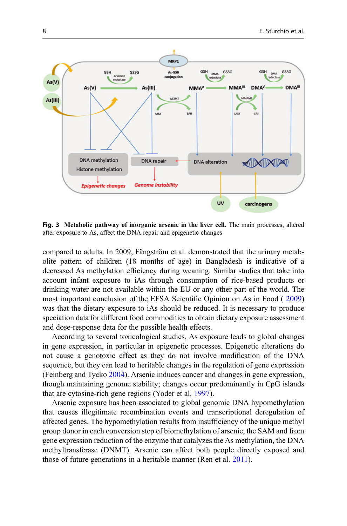<span id="page-7-0"></span>

Fig. 3 Metabolic pathway of inorganic arsenic in the liver cell. The main processes, altered after exposure to As, affect the DNA repair and epigenetic changes

compared to adults. In 2009, Fängström et al. demonstrated that the urinary metabolite pattern of children (18 months of age) in Bangladesh is indicative of a decreased As methylation efficiency during weaning. Similar studies that take into account infant exposure to iAs through consumption of rice-based products or drinking water are not available within the EU or any other part of the world. The most important conclusion of the EFSA Scientific Opinion on As in Food ( [2009](#page-15-0)) was that the dietary exposure to iAs should be reduced. It is necessary to produce speciation data for different food commodities to obtain dietary exposure assessment and dose-response data for the possible health effects.

According to several toxicological studies, As exposure leads to global changes in gene expression, in particular in epigenetic processes. Epigenetic alterations do not cause a genotoxic effect as they do not involve modification of the DNA sequence, but they can lead to heritable changes in the regulation of gene expression (Feinberg and Tycko [2004\)](#page-16-0). Arsenic induces cancer and changes in gene expression, though maintaining genome stability; changes occur predominantly in CpG islands that are cytosine-rich gene regions (Yoder et al. [1997\)](#page-19-0).

Arsenic exposure has been associated to global genomic DNA hypomethylation that causes illegitimate recombination events and transcriptional deregulation of affected genes. The hypomethylation results from insufficiency of the unique methyl group donor in each conversion step of biomethylation of arsenic, the SAM and from gene expression reduction of the enzyme that catalyzes the As methylation, the DNA methyltransferase (DNMT). Arsenic can affect both people directly exposed and those of future generations in a heritable manner (Ren et al. [2011](#page-17-0)).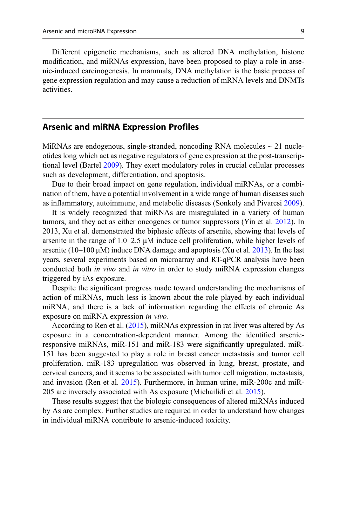Different epigenetic mechanisms, such as altered DNA methylation, histone modification, and miRNAs expression, have been proposed to play a role in arsenic-induced carcinogenesis. In mammals, DNA methylation is the basic process of gene expression regulation and may cause a reduction of mRNA levels and DNMTs activities.

#### Arsenic and miRNA Expression Profiles

MiRNAs are endogenous, single-stranded, noncoding RNA molecules  $\sim$  21 nucleotides long which act as negative regulators of gene expression at the post-transcriptional level (Bartel [2009](#page-15-0)). They exert modulatory roles in crucial cellular processes such as development, differentiation, and apoptosis.

Due to their broad impact on gene regulation, individual miRNAs, or a combination of them, have a potential involvement in a wide range of human diseases such as inflammatory, autoimmune, and metabolic diseases (Sonkoly and Pivarcsi [2009\)](#page-17-0).

It is widely recognized that miRNAs are misregulated in a variety of human tumors, and they act as either oncogenes or tumor suppressors (Yin et al. [2012\)](#page-18-0). In 2013, Xu et al. demonstrated the biphasic effects of arsenite, showing that levels of arsenite in the range of  $1.0-2.5 \mu M$  induce cell proliferation, while higher levels of arsenite  $(10-100 \,\mu\text{M})$  induce DNA damage and apoptosis (Xu et al. [2013\)](#page-18-0). In the last years, several experiments based on microarray and RT-qPCR analysis have been conducted both in vivo and in vitro in order to study miRNA expression changes triggered by iAs exposure.

Despite the significant progress made toward understanding the mechanisms of action of miRNAs, much less is known about the role played by each individual miRNA, and there is a lack of information regarding the effects of chronic As exposure on miRNA expression in vivo.

According to Ren et al. ([2015\)](#page-17-0), miRNAs expression in rat liver was altered by As exposure in a concentration-dependent manner. Among the identified arsenicresponsive miRNAs, miR-151 and miR-183 were significantly upregulated. miR-151 has been suggested to play a role in breast cancer metastasis and tumor cell proliferation. miR-183 upregulation was observed in lung, breast, prostate, and cervical cancers, and it seems to be associated with tumor cell migration, metastasis, and invasion (Ren et al. [2015\)](#page-17-0). Furthermore, in human urine, miR-200c and miR-205 are inversely associated with As exposure (Michailidi et al. [2015\)](#page-16-0).

These results suggest that the biologic consequences of altered miRNAs induced by As are complex. Further studies are required in order to understand how changes in individual miRNA contribute to arsenic-induced toxicity.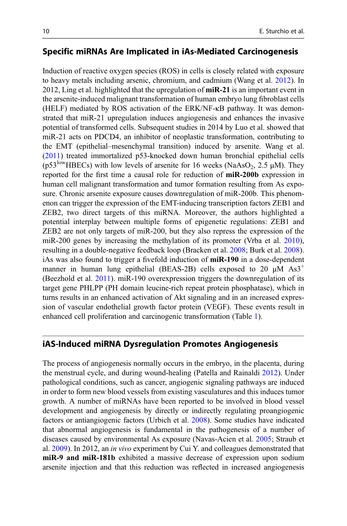### Specific miRNAs Are Implicated in iAs-Mediated Carcinogenesis

Induction of reactive oxygen species (ROS) in cells is closely related with exposure to heavy metals including arsenic, chromium, and cadmium (Wang et al. [2012\)](#page-18-0). In 2012, Ling et al. highlighted that the upregulation of **miR-21** is an important event in the arsenite-induced malignant transformation of human embryo lung fibroblast cells (HELF) mediated by ROS activation of the ERK/NF-κB pathway. It was demonstrated that miR-21 upregulation induces angiogenesis and enhances the invasive potential of transformed cells. Subsequent studies in 2014 by Luo et al. showed that miR-21 acts on PDCD4, an inhibitor of neoplastic transformation, contributing to the EMT (epithelial–mesenchymal transition) induced by arsenite. Wang et al. [\(2011\)](#page-18-0) treated immortalized p53-knocked down human bronchial epithelial cells (p53<sup>low</sup>HBECs) with low levels of arsenite for 16 weeks (NaAsO<sub>2</sub>, 2.5  $\mu$ M). They reported for the first time a causal role for reduction of miR-200b expression in human cell malignant transformation and tumor formation resulting from As exposure. Chronic arsenite exposure causes downregulation of miR-200b. This phenomenon can trigger the expression of the EMT-inducing transcription factors ZEB1 and ZEB2, two direct targets of this miRNA. Moreover, the authors highlighted a potential interplay between multiple forms of epigenetic regulations: ZEB1 and ZEB2 are not only targets of miR-200, but they also repress the expression of the miR-200 genes by increasing the methylation of its promoter (Vrba et al. [2010\)](#page-18-0), resulting in a double-negative feedback loop (Bracken et al. [2008](#page-15-0); Burk et al. [2008\)](#page-15-0). iAs was also found to trigger a fivefold induction of miR-190 in a dose-dependent manner in human lung epithelial (BEAS-2B) cells exposed to 20  $\mu$ M As3<sup>+</sup> (Beezhold et al. [2011](#page-15-0)). miR-190 overexpression triggers the downregulation of its target gene PHLPP (PH domain leucine-rich repeat protein phosphatase), which in turns results in an enhanced activation of Akt signaling and in an increased expression of vascular endothelial growth factor protein (VEGF). These events result in enhanced cell proliferation and carcinogenic transformation (Table [1](#page-10-0)).

#### iAS-Induced miRNA Dysregulation Promotes Angiogenesis

The process of angiogenesis normally occurs in the embryo, in the placenta, during the menstrual cycle, and during wound-healing (Patella and Rainaldi [2012](#page-17-0)). Under pathological conditions, such as cancer, angiogenic signaling pathways are induced in order to form new blood vessels from existing vasculatures and this induces tumor growth. A number of miRNAs have been reported to be involved in blood vessel development and angiogenesis by directly or indirectly regulating proangiogenic factors or antiangiogenic factors (Urbich et al. [2008\)](#page-18-0). Some studies have indicated that abnormal angiogenesis is fundamental in the pathogenesis of a number of diseases caused by environmental As exposure (Navas-Acien et al. [2005](#page-17-0); Straub et al. [2009\)](#page-18-0). In 2012, an in vivo experiment by Cui Y. and colleagues demonstrated that miR-9 and miR-181b exhibited a massive decrease of expression upon sodium arsenite injection and that this reduction was reflected in increased angiogenesis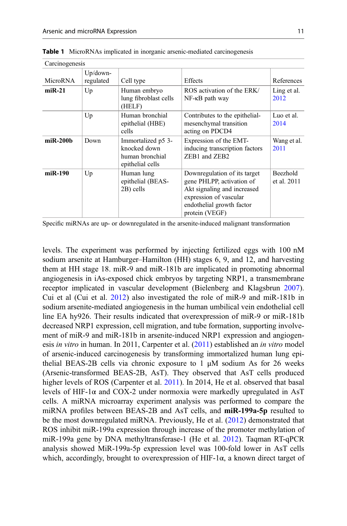$C_{\text{e}}$  construction and  $C_{\text{e}}$ 

| Carcinogenesis |                          |                                                                           |                                                                                                                                                                   |                         |
|----------------|--------------------------|---------------------------------------------------------------------------|-------------------------------------------------------------------------------------------------------------------------------------------------------------------|-------------------------|
| MicroRNA       | $Up/down$ -<br>regulated | Cell type                                                                 | <b>Effects</b>                                                                                                                                                    | References              |
| $miR-21$       | Up                       | Human embryo<br>lung fibroblast cells<br>(HELF)                           | ROS activation of the ERK/<br>$NF$ - $\kappa$ B path way                                                                                                          | Ling et al.<br>2012     |
|                | Up                       | Human bronchial<br>epithelial (HBE)<br>cells                              | Contributes to the epithelial-<br>mesenchymal transition<br>acting on PDCD4                                                                                       | Luo et al.<br>2014      |
| miR-200b       | Down                     | Immortalized p5 3-<br>knocked down<br>human bronchial<br>epithelial cells | Expression of the EMT-<br>inducing transcription factors<br>ZEB1 and ZEB2                                                                                         | Wang et al.<br>2011     |
| miR-190        | Up                       | Human lung<br>epithelial (BEAS-<br>2B) cells                              | Downregulation of its target<br>gene PHLPP, activation of<br>Akt signaling and increased<br>expression of vascular<br>endothelial growth factor<br>protein (VEGF) | Beezhold<br>et al. 2011 |

<span id="page-10-0"></span>Table 1 MicroRNAs implicated in inorganic arsenic-mediated carcinogenesis

Specific miRNAs are up- or downregulated in the arsenite-induced malignant transformation

levels. The experiment was performed by injecting fertilized eggs with 100 nM sodium arsenite at Hamburger–Hamilton (HH) stages 6, 9, and 12, and harvesting them at HH stage 18. miR-9 and miR-181b are implicated in promoting abnormal angiogenesis in iAs-exposed chick embryos by targeting NRP1, a transmembrane receptor implicated in vascular development (Bielenberg and Klagsbrun [2007\)](#page-15-0). Cui et al (Cui et al. [2012](#page-15-0)) also investigated the role of miR-9 and miR-181b in sodium arsenite-mediated angiogenesis in the human umbilical vein endothelial cell line EA hy926. Their results indicated that overexpression of miR-9 or miR-181b decreased NRP1 expression, cell migration, and tube formation, supporting involvement of miR-9 and miR-181b in arsenite-induced NRP1 expression and angiogenesis in vitro in human. In 2011, Carpenter et al. [\(2011\)](#page-15-0) established an in vitro model of arsenic-induced carcinogenesis by transforming immortalized human lung epithelial BEAS-2B cells via chronic exposure to 1  $\mu$ M sodium As for 26 weeks (Arsenic-transformed BEAS-2B, AsT). They observed that AsT cells produced higher levels of ROS (Carpenter et al. [2011\)](#page-15-0). In 2014, He et al. observed that basal levels of HIF-1 $\alpha$  and COX-2 under normoxia were markedly upregulated in AsT cells. A miRNA microarray experiment analysis was performed to compare the miRNA profiles between BEAS-2B and AsT cells, and miR-199a-5p resulted to be the most downregulated miRNA. Previously, He et al. ([2012\)](#page-16-0) demonstrated that ROS inhibit miR-199a expression through increase of the promoter methylation of miR-199a gene by DNA methyltransferase-1 (He et al. [2012](#page-16-0)). Taqman RT-qPCR analysis showed MiR-199a-5p expression level was 100-fold lower in AsT cells which, accordingly, brought to overexpression of HIF-1 $\alpha$ , a known direct target of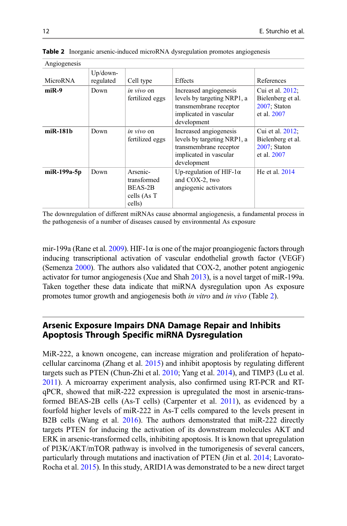| Angiogenesis   |                          |                                                             |                                                                                                                          |                                                                      |  |
|----------------|--------------------------|-------------------------------------------------------------|--------------------------------------------------------------------------------------------------------------------------|----------------------------------------------------------------------|--|
| MicroRNA       | $Up/down$ -<br>regulated | Cell type                                                   | <b>Effects</b>                                                                                                           | References                                                           |  |
| $miR-9$        | Down                     | <i>in vivo</i> on<br>fertilized eggs                        | Increased angiogenesis<br>levels by targeting NRP1, a<br>transmembrane receptor<br>implicated in vascular<br>development | Cui et al. 2012;<br>Bielenberg et al.<br>2007: Staton<br>et al. 2007 |  |
| $m$ iR-181 $b$ | Down                     | <i>in vivo</i> on<br>fertilized eggs                        | Increased angiogenesis<br>levels by targeting NRP1, a<br>transmembrane receptor<br>implicated in vascular<br>development | Cui et al. 2012;<br>Bielenberg et al.<br>2007; Staton<br>et al. 2007 |  |
| miR-199a-5p    | Down                     | Arsenic-<br>transformed<br>BEAS-2B<br>cells (As T<br>cells) | Up-regulation of HIF-1 $\alpha$<br>and COX-2, two<br>angiogenic activators                                               | He et al. $2014$                                                     |  |

Table 2 Inorganic arsenic-induced microRNA dysregulation promotes angiogenesis

The downregulation of different miRNAs cause abnormal angiogenesis, a fundamental process in the pathogenesis of a number of diseases caused by environmental As exposure

mir-199a (Rane et al. [2009](#page-17-0)). HIF-1 $\alpha$  is one of the major proangiogenic factors through inducing transcriptional activation of vascular endothelial growth factor (VEGF) (Semenza [2000\)](#page-17-0). The authors also validated that COX-2, another potent angiogenic activator for tumor angiogenesis (Xue and Shah [2013\)](#page-18-0), is a novel target of miR-199a. Taken together these data indicate that miRNA dysregulation upon As exposure promotes tumor growth and angiogenesis both in vitro and in vivo (Table 2).

# Arsenic Exposure Impairs DNA Damage Repair and Inhibits Apoptosis Through Specific miRNA Dysregulation

MiR-222, a known oncogene, can increase migration and proliferation of hepatocellular carcinoma (Zhang et al. [2015\)](#page-19-0) and inhibit apoptosis by regulating different targets such as PTEN (Chun-Zhi et al. [2010;](#page-15-0) Yang et al. [2014\)](#page-18-0), and TIMP3 (Lu et al. [2011\)](#page-16-0). A microarray experiment analysis, also confirmed using RT-PCR and RTqPCR, showed that miR-222 expression is upregulated the most in arsenic-transformed BEAS-2B cells (As-T cells) (Carpenter et al. [2011](#page-15-0)), as evidenced by a fourfold higher levels of miR-222 in As-T cells compared to the levels present in B2B cells (Wang et al. [2016](#page-18-0)). The authors demonstrated that miR-222 directly targets PTEN for inducing the activation of its downstream molecules AKT and ERK in arsenic-transformed cells, inhibiting apoptosis. It is known that upregulation of PI3K/AKT/mTOR pathway is involved in the tumorigenesis of several cancers, particularly through mutations and inactivation of PTEN (Jin et al. [2014](#page-16-0); Lavorato-Rocha et al. [2015](#page-16-0)). In this study, ARID1A was demonstrated to be a new direct target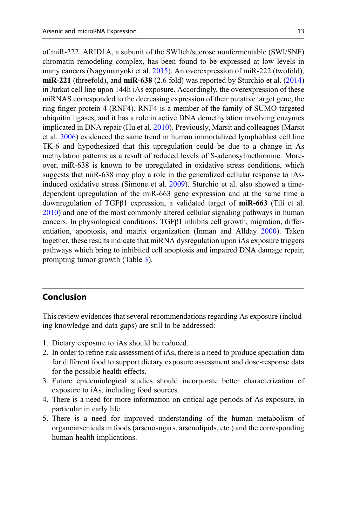of miR-222. ARID1A, a subunit of the SWItch/sucrose nonfermentable (SWI/SNF) chromatin remodeling complex, has been found to be expressed at low levels in many cancers (Nagymanyoki et al. [2015](#page-17-0)). An overexpression of miR-222 (twofold), miR-221 (threefold), and  $\text{miR-638}$  (2.6 fold) was reported by Sturchio et al. [\(2014](#page-18-0)) in Jurkat cell line upon 144h iAs exposure. Accordingly, the overexpression of these miRNAS corresponded to the decreasing expression of their putative target gene, the ring finger protein 4 (RNF4). RNF4 is a member of the family of SUMO targeted ubiquitin ligases, and it has a role in active DNA demethylation involving enzymes implicated in DNA repair (Hu et al. [2010](#page-16-0)). Previously, Marsit and colleagues (Marsit et al. [2006](#page-16-0)) evidenced the same trend in human immortalized lymphoblast cell line TK-6 and hypothesized that this upregulation could be due to a change in As methylation patterns as a result of reduced levels of S-adenosylmethionine. Moreover, miR-638 is known to be upregulated in oxidative stress conditions, which suggests that miR-638 may play a role in the generalized cellular response to iAsinduced oxidative stress (Simone et al. [2009](#page-17-0)). Sturchio et al. also showed a timedependent upregulation of the miR-663 gene expression and at the same time a downregulation of TGFβ1 expression, a validated target of miR-663 (Tili et al. [2010\)](#page-18-0) and one of the most commonly altered cellular signaling pathways in human cancers. In physiological conditions, TGFβ1 inhibits cell growth, migration, differentiation, apoptosis, and matrix organization (Inman and Allday [2000\)](#page-16-0). Taken together, these results indicate that miRNA dysregulation upon iAs exposure triggers pathways which bring to inhibited cell apoptosis and impaired DNA damage repair, prompting tumor growth (Table [3\)](#page-13-0).

# Conclusion

This review evidences that several recommendations regarding As exposure (including knowledge and data gaps) are still to be addressed:

- 1. Dietary exposure to iAs should be reduced.
- 2. In order to refine risk assessment of iAs, there is a need to produce speciation data for different food to support dietary exposure assessment and dose-response data for the possible health effects.
- 3. Future epidemiological studies should incorporate better characterization of exposure to iAs, including food sources.
- 4. There is a need for more information on critical age periods of As exposure, in particular in early life.
- 5. There is a need for improved understanding of the human metabolism of organoarsenicals in foods (arsenosugars, arsenolipids, etc.) and the corresponding human health implications.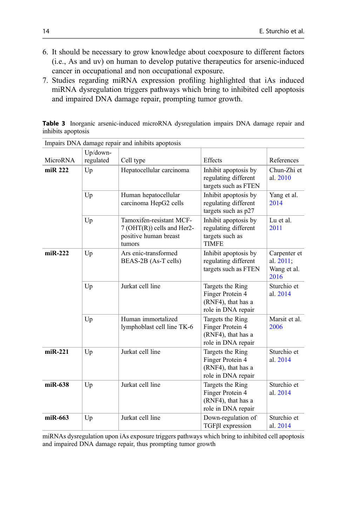- <span id="page-13-0"></span>6. It should be necessary to grow knowledge about coexposure to different factors (i.e., As and uv) on human to develop putative therapeutics for arsenic-induced cancer in occupational and non occupational exposure.
- 7. Studies regarding miRNA expression profiling highlighted that iAs induced miRNA dysregulation triggers pathways which bring to inhibited cell apoptosis and impaired DNA damage repair, prompting tumor growth.

Table 3 Inorganic arsenic-induced microRNA dysregulation impairs DNA damage repair and inhibits apoptosis

|           | Up/down-  | impairs Dr (11 auniting repair and immons apoptosis                                       |                                                                                  |                                                  |
|-----------|-----------|-------------------------------------------------------------------------------------------|----------------------------------------------------------------------------------|--------------------------------------------------|
| MicroRNA  | regulated | Cell type                                                                                 | Effects                                                                          | References                                       |
| miR 222   | Up        | Hepatocellular carcinoma                                                                  | Inhibit apoptosis by<br>regulating different<br>targets such as FTEN             | Chun-Zhi et<br>al. 2010                          |
|           | Up        | Human hepatocellular<br>carcinoma HepG2 cells                                             | Inhibit apoptosis by<br>regulating different<br>targets such as p27              | Yang et al.<br>2014                              |
|           | Up        | Tamoxifen-resistant MCF-<br>7 (OHT(R)) cells and Her2-<br>positive human breast<br>tumors | Inhibit apoptosis by<br>regulating different<br>targets such as<br><b>TIMFE</b>  | Lu et al.<br>2011                                |
| $miR-222$ | Up        | Ars enic-transformed<br>BEAS-2B (As-T cells)                                              | Inhibit apoptosis by<br>regulating different<br>targets such as FTEN             | Carpenter et<br>al. 2011;<br>Wang et al.<br>2016 |
|           | Up        | Jurkat cell line                                                                          | Targets the Ring<br>Finger Protein 4<br>(RNF4), that has a<br>role in DNA repair | Sturchio et<br>al. 2014                          |
|           | Up        | Human immortalized<br>lymphoblast cell line TK-6                                          | Targets the Ring<br>Finger Protein 4<br>(RNF4), that has a<br>role in DNA repair | Marsit et al.<br>2006                            |
| $miR-221$ | Up        | Jurkat cell line                                                                          | Targets the Ring<br>Finger Protein 4<br>(RNF4), that has a<br>role in DNA repair | Sturchio et<br>al. 2014                          |
| $miR-638$ | Up        | Jurkat cell line                                                                          | Targets the Ring<br>Finger Protein 4<br>(RNF4), that has a<br>role in DNA repair | Sturchio et<br>al. 2014                          |
| miR-663   | Up        | Jurkat cell line                                                                          | Down-regulation of<br>$TGF\beta1$ expression                                     | Sturchio et<br>al. 2014                          |

Impairs DNA damage repair and inhibits apoptosis

miRNAs dysregulation upon iAs exposure triggers pathways which bring to inhibited cell apoptosis and impaired DNA damage repair, thus prompting tumor growth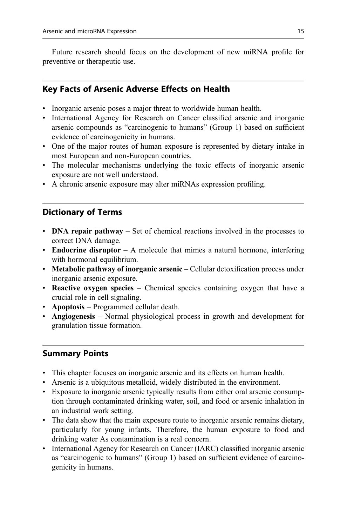Future research should focus on the development of new miRNA profile for preventive or therapeutic use.

# Key Facts of Arsenic Adverse Effects on Health

- Inorganic arsenic poses a major threat to worldwide human health.
- International Agency for Research on Cancer classified arsenic and inorganic arsenic compounds as "carcinogenic to humans" (Group 1) based on sufficient evidence of carcinogenicity in humans.
- One of the major routes of human exposure is represented by dietary intake in most European and non-European countries.
- The molecular mechanisms underlying the toxic effects of inorganic arsenic exposure are not well understood.
- A chronic arsenic exposure may alter miRNAs expression profiling.

#### Dictionary of Terms

- DNA repair pathway Set of chemical reactions involved in the processes to correct DNA damage.
- Endocrine disruptor A molecule that mimes a natural hormone, interfering with hormonal equilibrium.
- Metabolic pathway of inorganic arsenic Cellular detoxification process under inorganic arsenic exposure.
- Reactive oxygen species Chemical species containing oxygen that have a crucial role in cell signaling.
- Apoptosis Programmed cellular death.
- Angiogenesis Normal physiological process in growth and development for granulation tissue formation.

#### Summary Points

- This chapter focuses on inorganic arsenic and its effects on human health.
- Arsenic is a ubiquitous metalloid, widely distributed in the environment.
- Exposure to inorganic arsenic typically results from either oral arsenic consumption through contaminated drinking water, soil, and food or arsenic inhalation in an industrial work setting.
- The data show that the main exposure route to inorganic arsenic remains dietary, particularly for young infants. Therefore, the human exposure to food and drinking water As contamination is a real concern.
- International Agency for Research on Cancer (IARC) classified inorganic arsenic as "carcinogenic to humans" (Group 1) based on sufficient evidence of carcinogenicity in humans.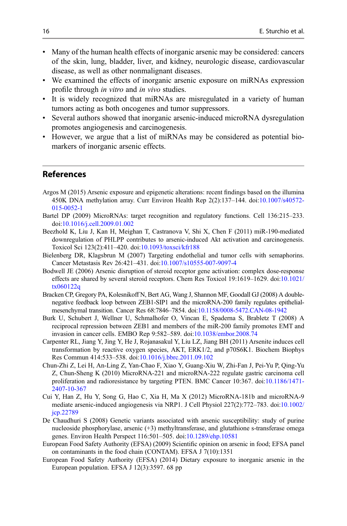- <span id="page-15-0"></span>• Many of the human health effects of inorganic arsenic may be considered: cancers of the skin, lung, bladder, liver, and kidney, neurologic disease, cardiovascular disease, as well as other nonmalignant diseases.
- We examined the effects of inorganic arsenic exposure on miRNAs expression profile through in vitro and in vivo studies.
- It is widely recognized that miRNAs are misregulated in a variety of human tumors acting as both oncogenes and tumor suppressors.
- Several authors showed that inorganic arsenic-induced microRNA dysregulation promotes angiogenesis and carcinogenesis.
- However, we argue that a list of miRNAs may be considered as potential biomarkers of inorganic arsenic effects.

## References

- Argos M (2015) Arsenic exposure and epigenetic alterations: recent findings based on the illumina 450K DNA methylation array. Curr Environ Health Rep 2(2):137–144. doi:[10.1007/s40572-](https://doi.org/10.1007/s40572-015-0052-1) [015-0052-1](https://doi.org/10.1007/s40572-015-0052-1)
- Bartel DP (2009) MicroRNAs: target recognition and regulatory functions. Cell 136:215–233. doi:[10.1016/j.cell.2009.01.002](https://doi.org/10.1016/j.cell.2009.01.002)
- Beezhold K, Liu J, Kan H, Meighan T, Castranova V, Shi X, Chen F (2011) miR-190-mediated downregulation of PHLPP contributes to arsenic-induced Akt activation and carcinogenesis. Toxicol Sci 123(2):411–420. doi[:10.1093/toxsci/kfr188](https://doi.org/10.1093/toxsci/kfr188)
- Bielenberg DR, Klagsbrun M (2007) Targeting endothelial and tumor cells with semaphorins. Cancer Metastasis Rev 26:421–431. doi[:10.1007/s10555-007-9097-4](https://doi.org/10.1007/s10555-007-9097-4)
- Bodwell JE (2006) Arsenic disruption of steroid receptor gene activation: complex dose-response effects are shared by several steroid receptors. Chem Res Toxicol 19:1619–1629. doi:[10.1021/](https://doi.org/10.1021/tx060122q) [tx060122q](https://doi.org/10.1021/tx060122q)
- Bracken CP, Gregory PA, Kolesnikoff N, Bert AG, Wang J, Shannon MF, Goodall GJ (2008) A doublenegative feedback loop between ZEB1-SIP1 and the microRNA-200 family regulates epithelialmesenchymal transition. Cancer Res 68:7846–7854. doi:[10.1158/0008-5472.CAN-08-1942](https://doi.org/10.1158/0008-5472.CAN-08-1942)
- Burk U, Schubert J, Wellner U, Schmalhofer O, Vincan E, Spaderna S, Brabletz T (2008) A reciprocal repression between ZEB1 and members of the miR-200 family promotes EMT and invasion in cancer cells. EMBO Rep 9:582–589. doi:[10.1038/embor.2008.74](https://doi.org/10.1038/embor.2008.74)
- Carpenter RL, Jiang Y, Jing Y, He J, Rojanasakul Y, Liu LZ, Jiang BH (2011) Arsenite induces cell transformation by reactive oxygen species, AKT, ERK1/2, and p70S6K1. Biochem Biophys Res Commun 414:533–538. doi:[10.1016/j.bbrc.2011.09.102](https://doi.org/10.1016/j.bbrc.2011.09.102)
- Chun-Zhi Z, Lei H, An-Ling Z, Yan-Chao F, Xiao Y, Guang-Xiu W, Zhi-Fan J, Pei-Yu P, Qing-Yu Z, Chun-Sheng K (2010) MicroRNA-221 and microRNA-222 regulate gastric carcinoma cell proliferation and radioresistance by targeting PTEN. BMC Cancer 10:367. doi[:10.1186/1471-](https://doi.org/10.1186/1471-2407-10-367) [2407-10-367](https://doi.org/10.1186/1471-2407-10-367)
- Cui Y, Han Z, Hu Y, Song G, Hao C, Xia H, Ma X (2012) MicroRNA-181b and microRNA-9 mediate arsenic-induced angiogenesis via NRP1. J Cell Physiol 227(2):772–783. doi:[10.1002/](https://doi.org/10.1002/jcp.22789) [jcp.22789](https://doi.org/10.1002/jcp.22789)
- De Chaudhuri S (2008) Genetic variants associated with arsenic susceptibility: study of purine nucleoside phosphorylase, arsenic (+3) methyltransferase, and glutathione s-transferase omega genes. Environ Health Perspect 116:501–505. doi[:10.1289/ehp.10581](https://doi.org/10.1289/ehp.10581)
- European Food Safety Authority (EFSA) (2009) Scientific opinion on arsenic in food; EFSA panel on contaminants in the food chain (CONTAM). EFSA J 7(10):1351
- European Food Safety Authority (EFSA) (2014) Dietary exposure to inorganic arsenic in the European population. EFSA J 12(3):3597. 68 pp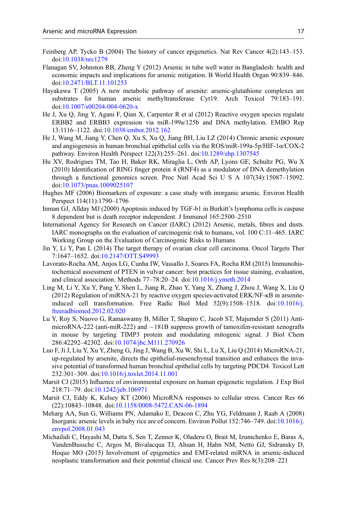- <span id="page-16-0"></span>Feinberg AP, Tycko B (2004) The history of cancer epigenetics. Nat Rev Cancer 4(2):143–153. doi:[10.1038/nrc1279](https://doi.org/10.1038/nrc1279)
- Flanagan SV, Johnston RB, Zheng Y (2012) Arsenic in tube well water in Bangladesh: health and economic impacts and implications for arsenic mitigation. B World Health Organ 90:839–846. doi:[10.2471/BLT.11.101253](https://doi.org/10.2471/BLT.11.101253)
- Hayakawa T (2005) A new metabolic pathway of arsenite: arsenic-glutathione complexes are substrates for human arsenic methyltransferase Cyt19. Arch Toxicol 79:183–191. doi:[10.1007/s00204-004-0620-x](https://doi.org/10.1007/s00204-004-0620-x)
- He J, Xu Q, Jing Y, Agani F, Qian X, Carpenter R et al (2012) Reactive oxygen species regulate ERBB2 and ERBB3 expression via miR-199a/125b and DNA methylation. EMBO Rep 13:1116–1122. doi[:10.1038/embor.2012.162](https://doi.org/10.1038/embor.2012.162)
- He J, Wang M, Jiang Y, Chen Q, Xu S, Xu Q, Jiang BH, Liu LZ (2014) Chronic arsenic exposure and angiogenesis in human bronchial epithelial cells via the ROS/miR-199a-5p/HIF-1α/COX-2 pathway. Environ Health Perspect 122(3):255–261. doi[:10.1289/ehp.1307545](https://doi.org/10.1289/ehp.1307545)
- Hu XV, Rodrigues TM, Tao H, Baker RK, Miraglia L, Orth AP, Lyons GE, Schultz PG, Wu X (2010) Identification of RING finger protein 4 (RNF4) as a modulator of DNA demethylation through a functional genomics screen. Proc Natl Acad Sci U S A 107(34):15087–15092. doi:[10.1073/pnas.1009025107](https://doi.org/10.1073/pnas.1009025107)
- Hughes MF (2006) Biomarkers of exposure: a case study with inorganic arsenic. Environ Health Perspect 114(11):1790–1796
- Inman GJ, Allday MJ (2000) Apoptosis induced by TGF-b1 in Burkitt's lymphoma cells is caspase 8 dependent but is death receptor independent. J Immunol 165:2500–2510
- International Agency for Research on Cancer (IARC) (2012) Arsenic, metals, fibres and dusts. IARC monographs on the evaluation of carcinogenic risk to humans, vol. 100 C:11–465. IARC Working Group on the Evaluation of Carcinogenic Risks to Humans
- Jin Y, Li Y, Pan L (2014) The target therapy of ovarian clear cell carcinoma. Oncol Targets Ther 7:1647–1652. doi[:10.2147/OTT.S49993](https://doi.org/10.2147/OTT.S49993)
- Lavorato-Rocha AM, Anjos LG, Cunha IW, Vassallo J, Soares FA, Rocha RM (2015) Immunohistochemical assessment of PTEN in vulvar cancer: best practices for tissue staining, evaluation, and clinical association. Methods 77–78:20–24. doi:[10.1016/j.ymeth.2014](https://doi.org/10.1016/j.ymeth.2014)
- Ling M, Li Y, Xu Y, Pang Y, Shen L, Jiang R, Zhao Y, Yang X, Zhang J, Zhou J, Wang X, Liu Q (2012) Regulation of miRNA-21 by reactive oxygen species-activated ERK/NF-κB in arseniteinduced cell transformation. Free Radic Biol Med 52(9):1508–1518. doi[:10.1016/j.](https://doi.org/10.1016/j.freeradbiomed.2012.02.020) [freeradbiomed.2012.02.020](https://doi.org/10.1016/j.freeradbiomed.2012.02.020)
- Lu Y, Roy S, Nuovo G, Ramaswamy B, Miller T, Shapiro C, Jacob ST, Majumder S (2011) AntimicroRNA-222 (anti-miR-222) and  $-181B$  suppress growth of tamoxifen-resistant xenografts in mouse by targeting TIMP3 protein and modulating mitogenic signal. J Biol Chem 286:42292–42302. doi:[10.1074/jbc.M111.270926](https://doi.org/10.1074/jbc.M111.270926)
- Luo F, Ji J, Liu Y, Xu Y, Zheng G, Jing J, Wang B, Xu W, Shi L, Lu X, Liu Q (2014) MicroRNA-21, up-regulated by arsenite, directs the epithelial-mesenchymal transition and enhances the invasive potential of transformed human bronchial epithelial cells by targeting PDCD4. Toxicol Lett 232:301–309. doi[:10.1016/j.toxlet.2014.11.001](https://doi.org/10.1016/j.toxlet.2014.11.001)
- Marsit CJ (2015) Influence of environmental exposure on human epigenetic regulation. J Exp Biol 218:71–79. doi:[10.1242/jeb.106971](https://doi.org/10.1242/jeb.106971)
- Marsit CJ, Eddy K, Kelsey KT (2006) MicroRNA responses to cellular stress. Cancer Res 66 (22):10843–10848. doi[:10.1158/0008-5472.CAN-06-1894](https://doi.org/10.1158/0008-5472.CAN-06-1894)
- Meharg AA, Sun G, Williams PN, Adamako E, Deacon C, Zhu YG, Feldmann J, Raab A (2008) Inorganic arsenic levels in baby rice are of concern. Environ Pollut 152:746–749. doi[:10.1016/j.](https://doi.org/10.1016/j.envpol.2008.01.043) [envpol.2008.01.043](https://doi.org/10.1016/j.envpol.2008.01.043)
- Michailidi C, Hayashi M, Datta S, Sen T, Zenner K, Oladeru O, Brait M, Izumchenko E, Baras A, VandenBussche C, Argos M, Bivalacqua TJ, Ahsan H, Hahn NM, Netto GJ, Sidransky D, Hoque MO (2015) Involvement of epigenetics and EMT-related miRNA in arsenic-induced neoplastic transformation and their potential clinical use. Cancer Prev Res 8(3):208–221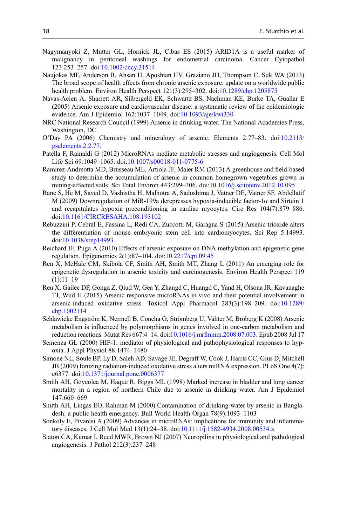- <span id="page-17-0"></span>Nagymanyoki Z, Mutter GL, Hornick JL, Cibas ES (2015) ARID1A is a useful marker of malignancy in peritoneal washings for endometrial carcinoma. Cancer Cytopathol 123:253–257. doi[:10.1002/cncy.21514](https://doi.org/10.1002/cncy.21514)
- Naujokas MF, Anderson B, Ahsan H, Aposhian HV, Graziano JH, Thompson C, Suk WA (2013) The broad scope of health effects from chronic arsenic exposure: update on a worldwide public health problem. Environ Health Perspect 121(3):295–302. doi:[10.1289/ehp.1205875](https://doi.org/10.1289/ehp.1205875)
- Navas-Acien A, Sharrett AR, Silbergeld EK, Schwartz BS, Nachman KE, Burke TA, Guallar E (2005) Arsenic exposure and cardiovascular disease: a systematic review of the epidemiologic evidence. Am J Epidemiol 162:1037–1049. doi:[10.1093/aje/kwi330](https://doi.org/10.1093/aje/kwi330)
- NRC National Research Council (1999) Arsenic in drinking water. The National Academies Press, Washington, DC
- O'Day PA (2006) Chemistry and mineralogy of arsenic. Elements 2:77–83. doi:[10.2113/](https://doi.org/10.2113/gselements.2.2.77.) [gselements.2.2.77.](https://doi.org/10.2113/gselements.2.2.77.)
- Patella F, Rainaldi G (2012) MicroRNAs mediate metabolic stresses and angiogenesis. Cell Mol Life Sci 69:1049–1065. doi:[10.1007/s00018-011-0775-6](https://doi.org/10.1007/s00018-011-0775-6)
- Ramirez-Andreotta MD, Brusseau ML, Artiola JF, Maier RM (2013) A greenhouse and field-based study to determine the accumulation of arsenic in common homegrown vegetables grown in mining-affected soils. Sci Total Environ 443:299–306. doi[:10.1016/j.scitotenv.2012.10.095](https://doi.org/10.1016/j.scitotenv.2012.10.095)
- Rane S, He M, Sayed D, Vashistha H, Malhotra A, Sadoshima J, Vatner DE, Vatner SF, Abdellatif M (2009) Downregulation of MiR-199a derepresses hypoxia-inducible factor-1 $\alpha$  and Sirtuin 1 and recapitulates hypoxia preconditioning in cardiac myocytes. Circ Res 104(7):879–886. doi:[10.1161/CIRCRESAHA.108.193102](https://doi.org/10.1161/CIRCRESAHA.108.193102)
- Rebuzzini P, Cebral E, Fassina L, Redi CA, Zuccotti M, Garagna S (2015) Arsenic trioxide alters the differentiation of mouse embryonic stem cell into cardiomyocytes. Sci Rep 5:14993. doi:[10.1038/srep14993](https://doi.org/10.1038/srep14993)
- Reichard JF, Puga A (2010) Effects of arsenic exposure on DNA methylation and epigenetic gene regulation. Epigenomics 2(1):87–104. doi:[10.2217/epi.09.45](https://doi.org/10.2217/epi.09.45)
- Ren X, McHale CM, Skibola CF, Smith AH, Smith MT, Zhang L (2011) An emerging role for epigenetic dysregulation in arsenic toxicity and carcinogenesis. Environ Health Perspect 119  $(1):11-19$
- Ren X, Gailec DP, Gonga Z, Qiud W, Gea Y, Zhangd C, Huangd C, Yand H, Olsona JR, Kavanaghe TJ, Wud H (2015) Arsenic responsive microRNAs in vivo and their potential involvement in arsenic-induced oxidative stress. Toxicol Appl Pharmacol 283(3):198–209. doi:[10.1289/](https://doi.org/10.1289/ehp.1002114) [ehp.1002114](https://doi.org/10.1289/ehp.1002114)
- Schläwicke Engström K, Nermell B, Concha G, Strömberg U, Vahter M, Broberg K (2008) Arsenic metabolism is influenced by polymorphisms in genes involved in one-carbon metabolism and reduction reactions. Mutat Res 667:4–14. doi:[10.1016/j.mrfmmm.2008.07.003](https://doi.org/10.1016/j.mrfmmm.2008.07.003). Epub 2008 Jul 17
- Semenza GL (2000) HIF-1: mediator of physiological and pathophysiological responses to hypoxia. J Appl Physiol 88:1474–1480
- Simone NL, Soule BP, Ly D, Saleh AD, Savage JE, Degraff W, Cook J, Harris CC, Gius D, Mitchell JB (2009) Ionizing radiation-induced oxidative stress alters miRNA expression. PLoS One 4(7): e6377. doi:[10.1371/journal.pone.0006377](https://doi.org/10.1371/journal.pone.0006377)
- Smith AH, Goycolea M, Haque R, Biggs ML (1998) Marked increase in bladder and lung cancer mortality in a region of northern Chile due to arsenic in drinking water. Am J Epidemiol 147:660–669
- Smith AH, Lingas EO, Rahman M (2000) Contamination of drinking-water by arsenic in Bangladesh: a public health emergency. Bull World Health Organ 78(9):1093–1103
- Sonkoly E, Pivarcsi A (2009) Advances in microRNAs: implications for immunity and inflammatory diseases. J Cell Mol Med 13(1):24–38. doi:[10.1111/j.1582-4934.2008.00534.x](https://doi.org/10.1111/j.1582-4934.2008.00534.x)
- Staton CA, Kumar I, Reed MWR, Brown NJ (2007) Neuropilins in physiological and pathological angiogenesis. J Pathol 212(3):237–248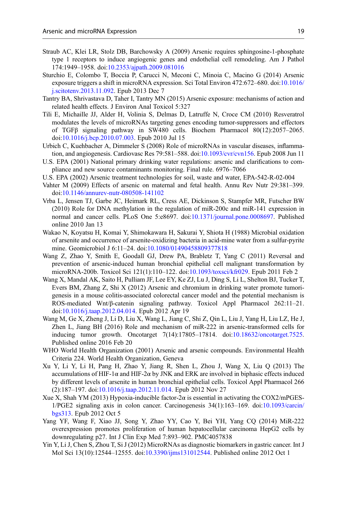- <span id="page-18-0"></span>Straub AC, Klei LR, Stolz DB, Barchowsky A (2009) Arsenic requires sphingosine-1-phosphate type 1 receptors to induce angiogenic genes and endothelial cell remodeling. Am J Pathol 174:1949–1958. doi[:10.2353/ajpath.2009.081016](https://doi.org/10.2353/ajpath.2009.081016)
- Sturchio E, Colombo T, Boccia P, Carucci N, Meconi C, Minoia C, Macino G (2014) Arsenic exposure triggers a shift in microRNA expression. Sci Total Environ 472:672–680. doi:[10.1016/](https://doi.org/10.1016/j.scitotenv.2013.11.092) [j.scitotenv.2013.11.092](https://doi.org/10.1016/j.scitotenv.2013.11.092). Epub 2013 Dec 7
- Tantry BA, Shrivastava D, Taher I, Tantry MN (2015) Arsenic exposure: mechanisms of action and related health effects. J Environ Anal Toxicol 5:327
- Tili E, Michaille JJ, Alder H, Volinia S, Delmas D, Latruffe N, Croce CM (2010) Resveratrol modulates the levels of microRNAs targeting genes encoding tumor-suppressors and effectors of TGFβ signaling pathway in SW480 cells. Biochem Pharmacol 80(12):2057–2065. doi:[10.1016/j.bcp.2010.07.003.](https://doi.org/10.1016/j.bcp.2010.07.003) Epub 2010 Jul 15
- Urbich C, Kuehbacher A, Dimmeler S (2008) Role of microRNAs in vascular diseases, inflammation, and angiogenesis. Cardiovasc Res 79:581–588. doi[:10.1093/cvr/cvn156.](https://doi.org/10.1093/cvr/cvn156) Epub 2008 Jun 11
- U.S. EPA (2001) National primary drinking water regulations: arsenic and clarifications to compliance and new source contaminants monitoring. Final rule. 6976–7066
- U.S. EPA (2002) Arsenic treatment technologies for soil, waste and water, EPA-542-R-02-004
- Vahter M (2009) Effects of arsenic on maternal and fetal health. Annu Rev Nutr 29:381–399. doi:[10.1146/annurev-nutr-080508-141102](https://doi.org/10.1146/annurev-nutr-080508-141102)
- Vrba L, Jensen TJ, Garbe JC, Heimark RL, Cress AE, Dickinson S, Stampfer MR, Futscher BW (2010) Role for DNA methylation in the regulation of miR-200c and miR-141 expression in normal and cancer cells. PLoS One 5:e8697. doi:[10.1371/journal.pone.0008697](https://doi.org/10.1371/journal.pone.0008697). Published online 2010 Jan 13
- Wakao N, Koyatsu H, Komai Y, Shimokawara H, Sakurai Y, Shiota H (1988) Microbial oxidation of arsenite and occurrence of arsenite-oxidizing bacteria in acid-mine water from a sulfur-pyrite mine. Geomicrobiol J 6:11–24. doi:[10.1080/01490458809377818](https://doi.org/10.1080/01490458809377818)
- Wang Z, Zhao Y, Smith E, Goodall GJ, Drew PA, Brabletz T, Yang C (2011) Reversal and prevention of arsenic-induced human bronchial epithelial cell malignant transformation by microRNA-200b. Toxicol Sci 121(1):110–122. doi:[10.1093/toxsci/kfr029](https://doi.org/10.1093/toxsci/kfr029). Epub 2011 Feb 2
- Wang X, Mandal AK, Saito H, Pulliam JF, Lee EY, Ke ZJ, Lu J, Ding S, Li L, Shelton BJ, Tucker T, Evers BM, Zhang Z, Shi X (2012) Arsenic and chromium in drinking water promote tumorigenesis in a mouse colitis-associated colorectal cancer model and the potential mechanism is ROS-mediated Wnt/β-catenin signaling pathway. Toxicol Appl Pharmacol 262:11–21. doi:[10.1016/j.taap.2012.04.014](https://doi.org/10.1016/j.taap.2012.04.014). Epub 2012 Apr 19
- Wang M, Ge X, Zheng J, Li D, Liu X, Wang L, Jiang C, Shi Z, Qin L, Liu J, Yang H, Liu LZ, He J, Zhen L, Jiang BH (2016) Role and mechanism of miR-222 in arsenic-transformed cells for inducing tumor growth. Oncotarget 7(14):17805–17814. doi:[10.18632/oncotarget.7525](https://doi.org/10.18632/oncotarget.7525). Published online 2016 Feb 20
- WHO World Health Organization (2001) Arsenic and arsenic compounds. Environmental Health Criteria 224. World Health Organization, Geneva
- Xu Y, Li Y, Li H, Pang H, Zhao Y, Jiang R, Shen L, Zhou J, Wang X, Liu Q (2013) The accumulations of HIF-1 $\alpha$  and HIF-2 $\alpha$  by JNK and ERK are involved in biphasic effects induced by different levels of arsenite in human bronchial epithelial cells. Toxicol Appl Pharmacol 266 (2):187–197. doi[:10.1016/j.taap.2012.11.014](https://doi.org/10.1016/j.taap.2012.11.014). Epub 2012 Nov 27
- Xue X, Shah YM (2013) Hypoxia-inducible factor-2 $\alpha$  is essential in activating the COX2/mPGES-1/PGE2 signaling axis in colon cancer. Carcinogenesis 34(1):163–169. doi:[10.1093/carcin/](https://doi.org/10.1093/carcin/bgs313) [bgs313](https://doi.org/10.1093/carcin/bgs313). Epub 2012 Oct 5
- Yang YF, Wang F, Xiao JJ, Song Y, Zhao YY, Cao Y, Bei YH, Yang CQ (2014) MiR-222 overexpression promotes proliferation of human hepatocellular carcinoma HepG2 cells by downregulating p27. Int J Clin Exp Med 7:893–902. PMC4057838
- Yin Y, Li J, Chen S, Zhou T, Si J (2012) MicroRNAs as diagnostic biomarkers in gastric cancer. Int J Mol Sci 13(10):12544–12555. doi[:10.3390/ijms131012544](https://doi.org/10.3390/ijms131012544). Published online 2012 Oct 1